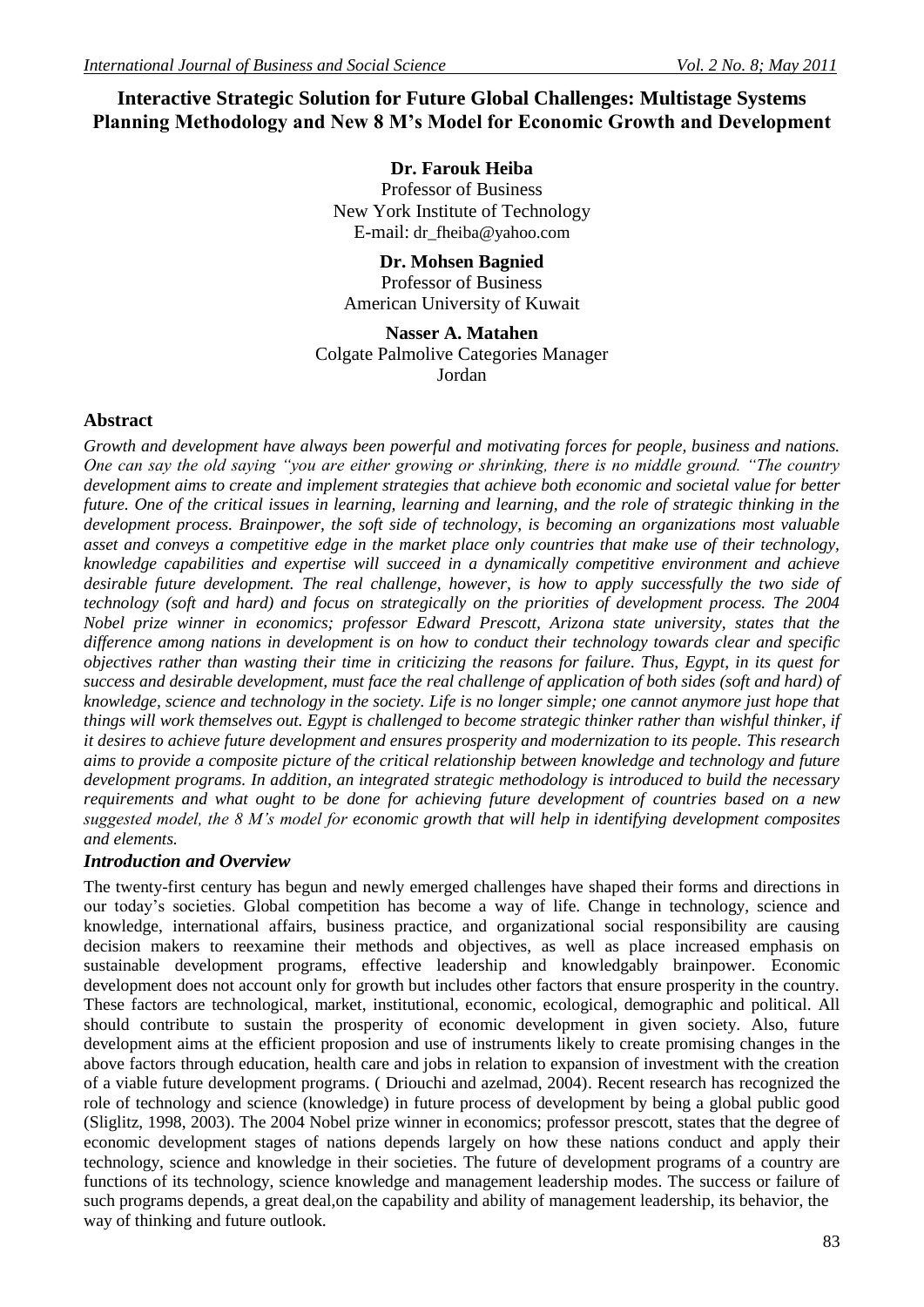# **Interactive Strategic Solution for Future Global Challenges: Multistage Systems Planning Methodology and New 8 M's Model for Economic Growth and Development**

**Dr. Farouk Heiba** Professor of Business New York Institute of Technology E-mail: dr\_fheiba@yahoo.com

**Dr. Mohsen Bagnied** Professor of Business American University of Kuwait

**Nasser A. Matahen** Colgate Palmolive Categories Manager Jordan

### **Abstract**

*Growth and development have always been powerful and motivating forces for people, business and nations. One can say the old saying "you are either growing or shrinking, there is no middle ground. "The country development aims to create and implement strategies that achieve both economic and societal value for better future. One of the critical issues in learning, learning and learning, and the role of strategic thinking in the development process. Brainpower, the soft side of technology, is becoming an organizations most valuable asset and conveys a competitive edge in the market place only countries that make use of their technology, knowledge capabilities and expertise will succeed in a dynamically competitive environment and achieve desirable future development. The real challenge, however, is how to apply successfully the two side of technology (soft and hard) and focus on strategically on the priorities of development process. The 2004 Nobel prize winner in economics; professor Edward Prescott, Arizona state university, states that the difference among nations in development is on how to conduct their technology towards clear and specific objectives rather than wasting their time in criticizing the reasons for failure. Thus, Egypt, in its quest for success and desirable development, must face the real challenge of application of both sides (soft and hard) of knowledge, science and technology in the society. Life is no longer simple; one cannot anymore just hope that things will work themselves out. Egypt is challenged to become strategic thinker rather than wishful thinker, if it desires to achieve future development and ensures prosperity and modernization to its people. This research aims to provide a composite picture of the critical relationship between knowledge and technology and future development programs. In addition, an integrated strategic methodology is introduced to build the necessary requirements and what ought to be done for achieving future development of countries based on a new suggested model, the 8 M's model for economic growth that will help in identifying development composites and elements.*

#### *Introduction and Overview*

The twenty-first century has begun and newly emerged challenges have shaped their forms and directions in our today's societies. Global competition has become a way of life. Change in technology, science and knowledge, international affairs, business practice, and organizational social responsibility are causing decision makers to reexamine their methods and objectives, as well as place increased emphasis on sustainable development programs, effective leadership and knowledgably brainpower. Economic development does not account only for growth but includes other factors that ensure prosperity in the country. These factors are technological, market, institutional, economic, ecological, demographic and political. All should contribute to sustain the prosperity of economic development in given society. Also, future development aims at the efficient proposion and use of instruments likely to create promising changes in the above factors through education, health care and jobs in relation to expansion of investment with the creation of a viable future development programs. ( Driouchi and azelmad, 2004). Recent research has recognized the role of technology and science (knowledge) in future process of development by being a global public good (Sliglitz, 1998, 2003). The 2004 Nobel prize winner in economics; professor prescott, states that the degree of economic development stages of nations depends largely on how these nations conduct and apply their technology, science and knowledge in their societies. The future of development programs of a country are functions of its technology, science knowledge and management leadership modes. The success or failure of such programs depends, a great deal,on the capability and ability of management leadership, its behavior, the way of thinking and future outlook.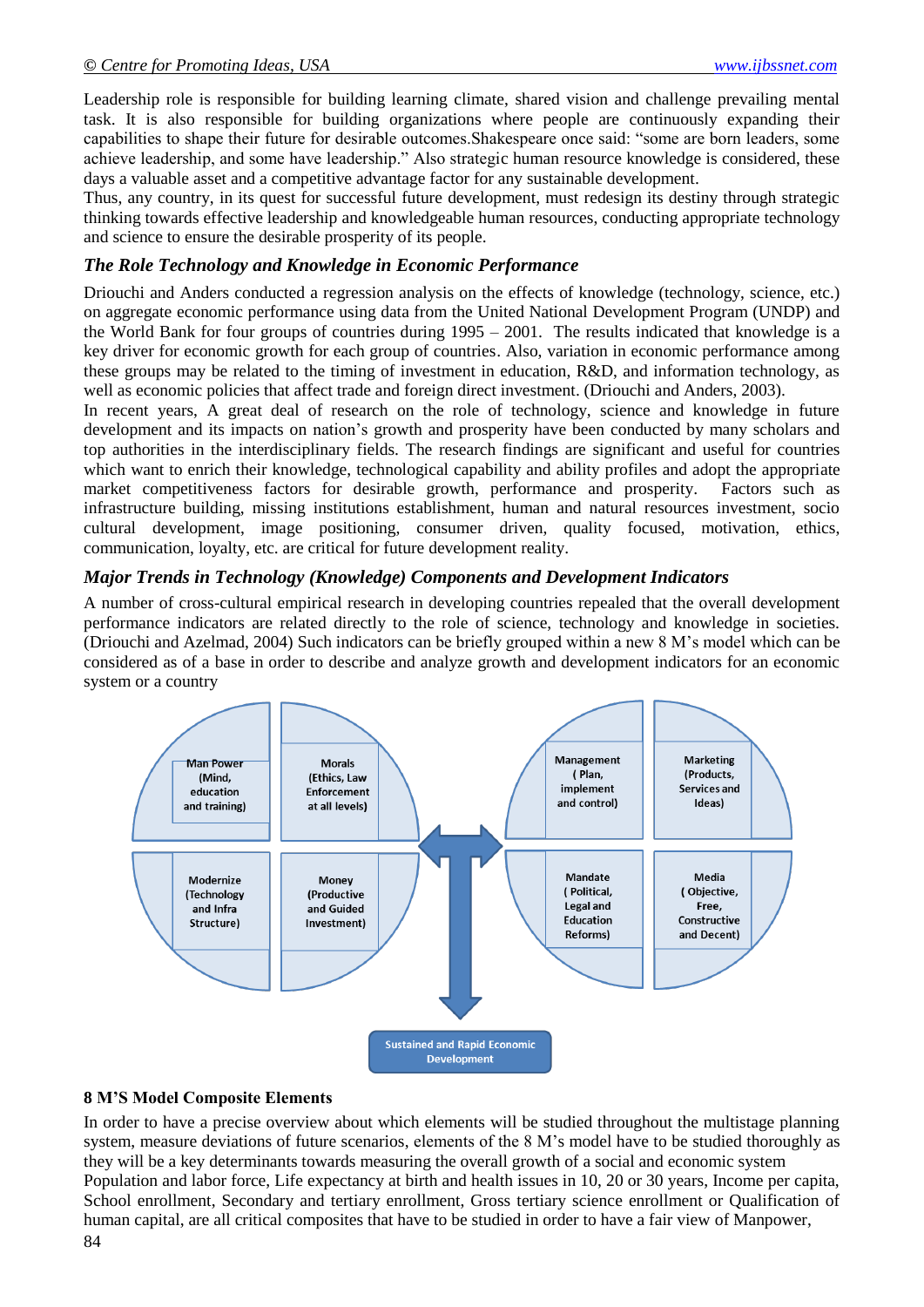Leadership role is responsible for building learning climate, shared vision and challenge prevailing mental task. It is also responsible for building organizations where people are continuously expanding their capabilities to shape their future for desirable outcomes.Shakespeare once said: "some are born leaders, some achieve leadership, and some have leadership." Also strategic human resource knowledge is considered, these days a valuable asset and a competitive advantage factor for any sustainable development.

Thus, any country, in its quest for successful future development, must redesign its destiny through strategic thinking towards effective leadership and knowledgeable human resources, conducting appropriate technology and science to ensure the desirable prosperity of its people.

### *The Role Technology and Knowledge in Economic Performance*

Driouchi and Anders conducted a regression analysis on the effects of knowledge (technology, science, etc.) on aggregate economic performance using data from the United National Development Program (UNDP) and the World Bank for four groups of countries during 1995 – 2001. The results indicated that knowledge is a key driver for economic growth for each group of countries. Also, variation in economic performance among these groups may be related to the timing of investment in education, R&D, and information technology, as well as economic policies that affect trade and foreign direct investment. (Driouchi and Anders, 2003).

In recent years, A great deal of research on the role of technology, science and knowledge in future development and its impacts on nation's growth and prosperity have been conducted by many scholars and top authorities in the interdisciplinary fields. The research findings are significant and useful for countries which want to enrich their knowledge, technological capability and ability profiles and adopt the appropriate market competitiveness factors for desirable growth, performance and prosperity. Factors such as infrastructure building, missing institutions establishment, human and natural resources investment, socio cultural development, image positioning, consumer driven, quality focused, motivation, ethics, communication, loyalty, etc. are critical for future development reality.

### *Major Trends in Technology (Knowledge) Components and Development Indicators*

A number of cross-cultural empirical research in developing countries repealed that the overall development performance indicators are related directly to the role of science, technology and knowledge in societies. (Driouchi and Azelmad, 2004) Such indicators can be briefly grouped within a new 8 M's model which can be considered as of a base in order to describe and analyze growth and development indicators for an economic system or a country



## **8 M'S Model Composite Elements**

In order to have a precise overview about which elements will be studied throughout the multistage planning system, measure deviations of future scenarios, elements of the 8 M's model have to be studied thoroughly as they will be a key determinants towards measuring the overall growth of a social and economic system Population and labor force, Life expectancy at birth and health issues in 10, 20 or 30 years, Income per capita, School enrollment, Secondary and tertiary enrollment, Gross tertiary science enrollment or Qualification of human capital, are all critical composites that have to be studied in order to have a fair view of Manpower,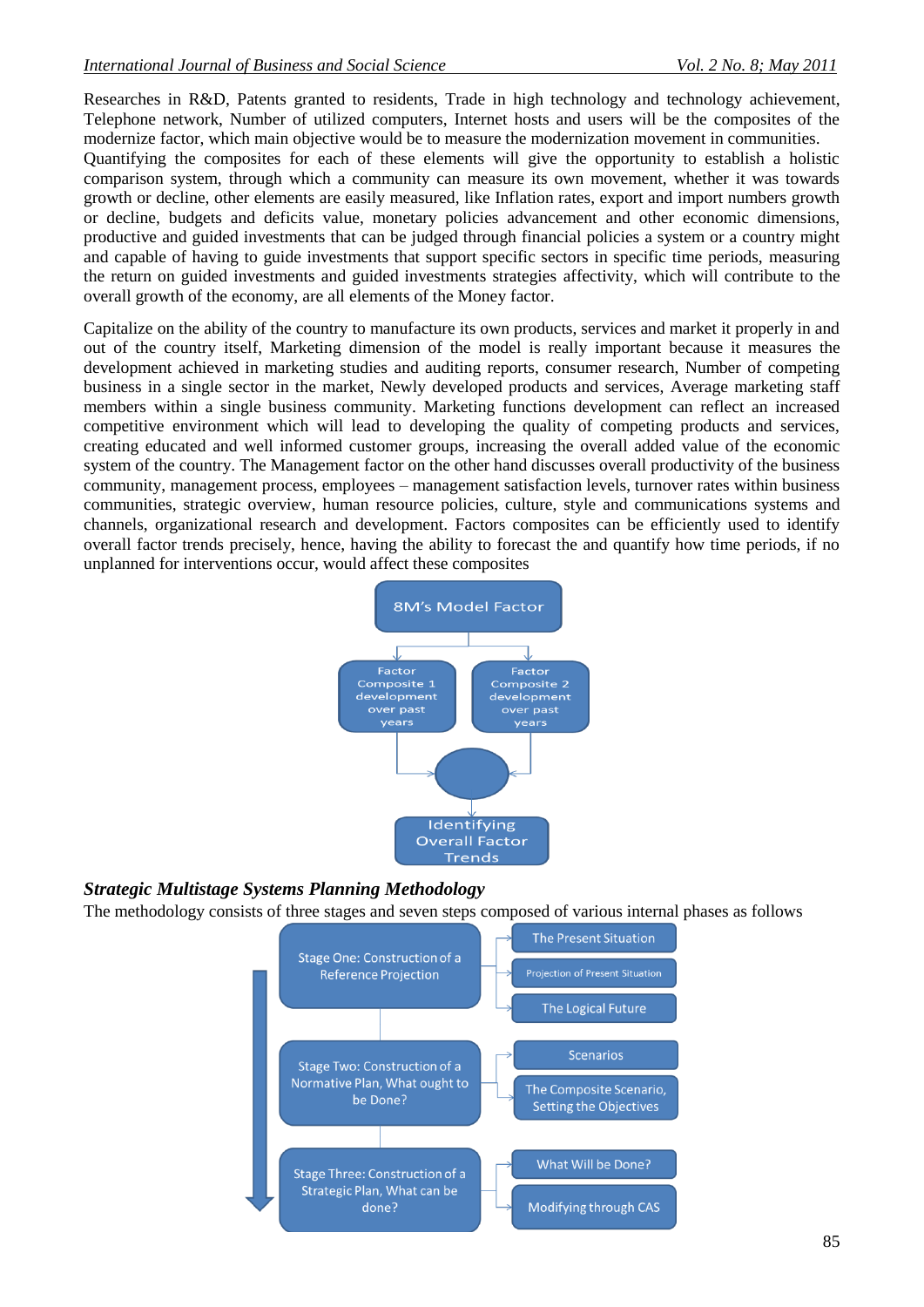Researches in R&D, Patents granted to residents, Trade in high technology and technology achievement, Telephone network, Number of utilized computers, Internet hosts and users will be the composites of the modernize factor, which main objective would be to measure the modernization movement in communities.

Quantifying the composites for each of these elements will give the opportunity to establish a holistic comparison system, through which a community can measure its own movement, whether it was towards growth or decline, other elements are easily measured, like Inflation rates, export and import numbers growth or decline, budgets and deficits value, monetary policies advancement and other economic dimensions, productive and guided investments that can be judged through financial policies a system or a country might and capable of having to guide investments that support specific sectors in specific time periods, measuring the return on guided investments and guided investments strategies affectivity, which will contribute to the overall growth of the economy, are all elements of the Money factor.

Capitalize on the ability of the country to manufacture its own products, services and market it properly in and out of the country itself, Marketing dimension of the model is really important because it measures the development achieved in marketing studies and auditing reports, consumer research, Number of competing business in a single sector in the market, Newly developed products and services, Average marketing staff members within a single business community. Marketing functions development can reflect an increased competitive environment which will lead to developing the quality of competing products and services, creating educated and well informed customer groups, increasing the overall added value of the economic system of the country. The Management factor on the other hand discusses overall productivity of the business community, management process, employees – management satisfaction levels, turnover rates within business communities, strategic overview, human resource policies, culture, style and communications systems and channels, organizational research and development. Factors composites can be efficiently used to identify overall factor trends precisely, hence, having the ability to forecast the and quantify how time periods, if no unplanned for interventions occur, would affect these composites



## *Strategic Multistage Systems Planning Methodology*

The methodology consists of three stages and seven steps composed of various internal phases as follows

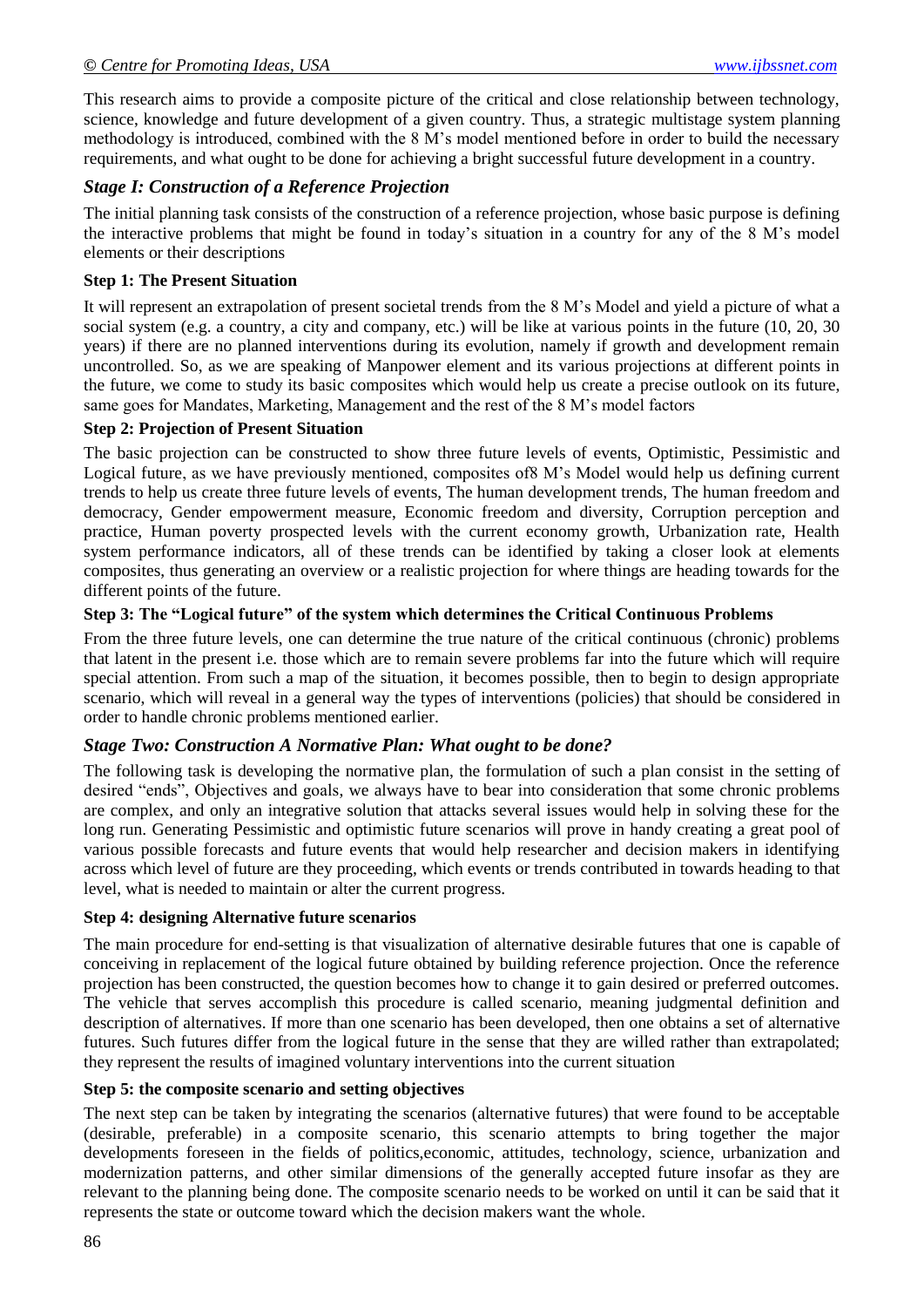This research aims to provide a composite picture of the critical and close relationship between technology, science, knowledge and future development of a given country. Thus, a strategic multistage system planning methodology is introduced, combined with the 8 M's model mentioned before in order to build the necessary requirements, and what ought to be done for achieving a bright successful future development in a country.

## *Stage I: Construction of a Reference Projection*

The initial planning task consists of the construction of a reference projection, whose basic purpose is defining the interactive problems that might be found in today's situation in a country for any of the 8 M's model elements or their descriptions

### **Step 1: The Present Situation**

It will represent an extrapolation of present societal trends from the 8 M's Model and yield a picture of what a social system (e.g. a country, a city and company, etc.) will be like at various points in the future (10, 20, 30) years) if there are no planned interventions during its evolution, namely if growth and development remain uncontrolled. So, as we are speaking of Manpower element and its various projections at different points in the future, we come to study its basic composites which would help us create a precise outlook on its future, same goes for Mandates, Marketing, Management and the rest of the 8 M's model factors

#### **Step 2: Projection of Present Situation**

The basic projection can be constructed to show three future levels of events, Optimistic, Pessimistic and Logical future, as we have previously mentioned, composites of8 M's Model would help us defining current trends to help us create three future levels of events, The human development trends, The human freedom and democracy, Gender empowerment measure, Economic freedom and diversity, Corruption perception and practice, Human poverty prospected levels with the current economy growth, Urbanization rate, Health system performance indicators, all of these trends can be identified by taking a closer look at elements composites, thus generating an overview or a realistic projection for where things are heading towards for the different points of the future.

### **Step 3: The "Logical future" of the system which determines the Critical Continuous Problems**

From the three future levels, one can determine the true nature of the critical continuous (chronic) problems that latent in the present i.e. those which are to remain severe problems far into the future which will require special attention. From such a map of the situation, it becomes possible, then to begin to design appropriate scenario, which will reveal in a general way the types of interventions (policies) that should be considered in order to handle chronic problems mentioned earlier.

### *Stage Two: Construction A Normative Plan: What ought to be done?*

The following task is developing the normative plan, the formulation of such a plan consist in the setting of desired "ends", Objectives and goals, we always have to bear into consideration that some chronic problems are complex, and only an integrative solution that attacks several issues would help in solving these for the long run. Generating Pessimistic and optimistic future scenarios will prove in handy creating a great pool of various possible forecasts and future events that would help researcher and decision makers in identifying across which level of future are they proceeding, which events or trends contributed in towards heading to that level, what is needed to maintain or alter the current progress.

### **Step 4: designing Alternative future scenarios**

The main procedure for end-setting is that visualization of alternative desirable futures that one is capable of conceiving in replacement of the logical future obtained by building reference projection. Once the reference projection has been constructed, the question becomes how to change it to gain desired or preferred outcomes. The vehicle that serves accomplish this procedure is called scenario, meaning judgmental definition and description of alternatives. If more than one scenario has been developed, then one obtains a set of alternative futures. Such futures differ from the logical future in the sense that they are willed rather than extrapolated; they represent the results of imagined voluntary interventions into the current situation

### **Step 5: the composite scenario and setting objectives**

The next step can be taken by integrating the scenarios (alternative futures) that were found to be acceptable (desirable, preferable) in a composite scenario, this scenario attempts to bring together the major developments foreseen in the fields of politics,economic, attitudes, technology, science, urbanization and modernization patterns, and other similar dimensions of the generally accepted future insofar as they are relevant to the planning being done. The composite scenario needs to be worked on until it can be said that it represents the state or outcome toward which the decision makers want the whole.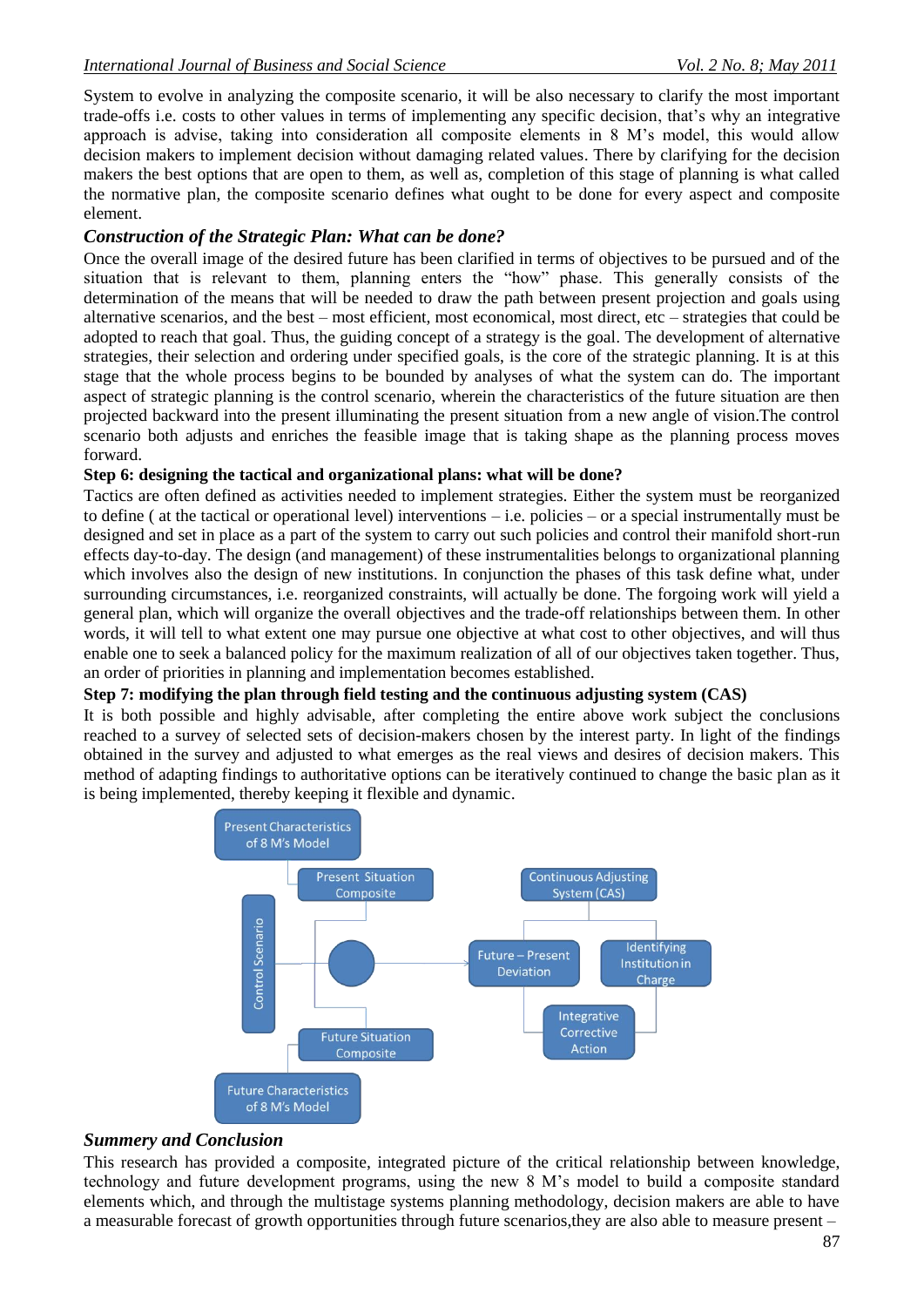System to evolve in analyzing the composite scenario, it will be also necessary to clarify the most important trade-offs i.e. costs to other values in terms of implementing any specific decision, that's why an integrative approach is advise, taking into consideration all composite elements in 8 M's model, this would allow decision makers to implement decision without damaging related values. There by clarifying for the decision makers the best options that are open to them, as well as, completion of this stage of planning is what called the normative plan, the composite scenario defines what ought to be done for every aspect and composite element.

### *Construction of the Strategic Plan: What can be done?*

Once the overall image of the desired future has been clarified in terms of objectives to be pursued and of the situation that is relevant to them, planning enters the "how" phase. This generally consists of the determination of the means that will be needed to draw the path between present projection and goals using alternative scenarios, and the best – most efficient, most economical, most direct, etc – strategies that could be adopted to reach that goal. Thus, the guiding concept of a strategy is the goal. The development of alternative strategies, their selection and ordering under specified goals, is the core of the strategic planning. It is at this stage that the whole process begins to be bounded by analyses of what the system can do. The important aspect of strategic planning is the control scenario, wherein the characteristics of the future situation are then projected backward into the present illuminating the present situation from a new angle of vision.The control scenario both adjusts and enriches the feasible image that is taking shape as the planning process moves forward.

### **Step 6: designing the tactical and organizational plans: what will be done?**

Tactics are often defined as activities needed to implement strategies. Either the system must be reorganized to define ( at the tactical or operational level) interventions – i.e. policies – or a special instrumentally must be designed and set in place as a part of the system to carry out such policies and control their manifold short-run effects day-to-day. The design (and management) of these instrumentalities belongs to organizational planning which involves also the design of new institutions. In conjunction the phases of this task define what, under surrounding circumstances, i.e. reorganized constraints, will actually be done. The forgoing work will yield a general plan, which will organize the overall objectives and the trade-off relationships between them. In other words, it will tell to what extent one may pursue one objective at what cost to other objectives, and will thus enable one to seek a balanced policy for the maximum realization of all of our objectives taken together. Thus, an order of priorities in planning and implementation becomes established.

## **Step 7: modifying the plan through field testing and the continuous adjusting system (CAS)**

It is both possible and highly advisable, after completing the entire above work subject the conclusions reached to a survey of selected sets of decision-makers chosen by the interest party. In light of the findings obtained in the survey and adjusted to what emerges as the real views and desires of decision makers. This method of adapting findings to authoritative options can be iteratively continued to change the basic plan as it is being implemented, thereby keeping it flexible and dynamic.



## *Summery and Conclusion*

This research has provided a composite, integrated picture of the critical relationship between knowledge, technology and future development programs, using the new 8 M's model to build a composite standard elements which, and through the multistage systems planning methodology, decision makers are able to have a measurable forecast of growth opportunities through future scenarios,they are also able to measure present –